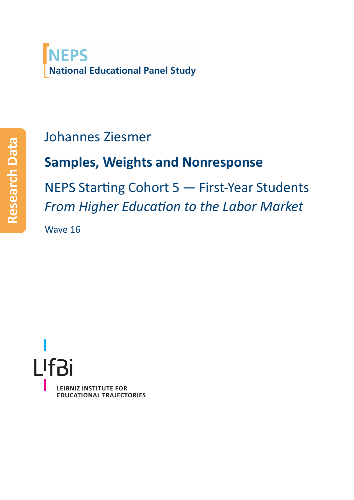

## Johannes Ziesmer

# **Samples, Weights and Nonresponse**

NEPS Starting Cohort 5 — First‐Year Students *From Higher Education to the Labor Market*

Wave 16

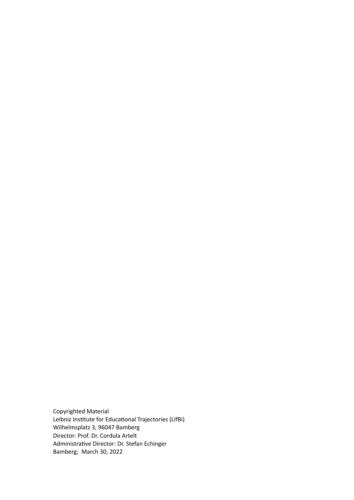Copyrighted Material Leibniz Institute for Educational Trajectories (LIfBi) Wilhelmsplatz 3, 96047 Bamberg Director: Prof. Dr. Cordula Artelt Administrative Director: Dr. Stefan Echinger Bamberg; March 30, 2022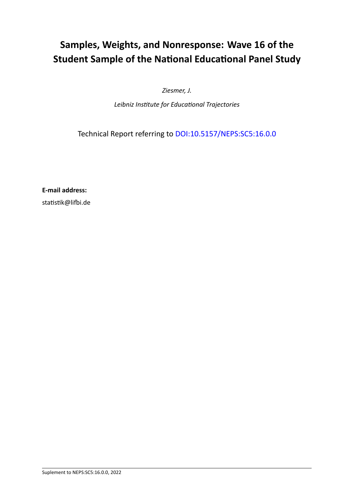### **Samples, Weights, and Nonresponse: Wave 16 of the Student Sample of the National Educational Panel Study**

*Ziesmer, J.*

*Leibniz Institute for Educational Trajectories*

Technical Report referring to [DOI:10.5157/NEPS:SC5:16.0.0](http://dx.doi.org/10.5157/NEPS:SC5:16.0.0)

**E‐mail address:**

statistik@lifbi.de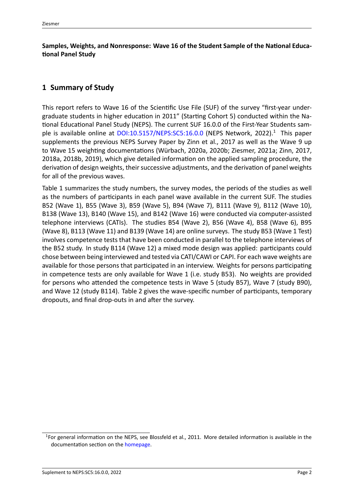**Samples, Weights, and Nonresponse: Wave 16 of the Student Sample of the National Educa‐ tional Panel Study**

#### **1 Summary of Study**

This report refers to Wave 16 of the Scientific Use File (SUF) of the survey "first-year undergraduate students in higher education in 2011" (Starting Cohort 5) conducted within the Na‐ tional Educational Panel Study (NEPS). The current SUF 16.0.0 of the First‐Year Students sam‐ ple is available online at  $DOL:10.5157/NEPS:SC5:16.0.0$  $DOL:10.5157/NEPS:SC5:16.0.0$  $DOL:10.5157/NEPS:SC5:16.0.0$  (NEPS Network, [2022](#page-15-0)).<sup>1</sup> This paper supplements the previous NEPS Survey Paper by Zinn et al., [2017](#page-16-0) as well as the Wave 9 up to Wave 15 weighting documentations (Würbach, [2020a](#page-15-1), [2020b](#page-15-2); Ziesmer, [2021a](#page-15-3); Zinn, [2017](#page-16-1), [2018a,](#page-16-2) [2018b](#page-16-3), [2019](#page-16-4)), which give detailed information on the applied sampling procedure, the derivation of design weights, their successive adjustments, and the derivation of panel weights for all of the previous waves.

Table [1](#page-4-0) summarizes the study numbers, the survey modes, the periods of the studies as well as the numbers of participants in each panel wave available in the current SUF. The studies B52 (Wave 1), B55 (Wave 3), B59 (Wave 5), B94 (Wave 7), B111 (Wave 9), B112 (Wave 10), B138 (Wave 13), B140 (Wave 15), and B142 (Wave 16) were conducted via computer‐assisted telephone interviews (CATIs). The studies B54 (Wave 2), B56 (Wave 4), B58 (Wave 6), B95 (Wave 8), B113 (Wave 11) and B139 (Wave 14) are online surveys. The study B53 (Wave 1 Test) involves competence tests that have been conducted in parallel to the telephone interviews of the B52 study. In study B114 (Wave 12) a mixed mode design was applied: participants could chose between being interviewed and tested via CATI/CAWI or CAPI. For each wave weights are available for those persons that participated in an interview. Weights for persons participating in competence tests are only available for Wave 1 (i.e. study B53). No weights are provided for persons who attended the competence tests in Wave 5 (study B57), Wave 7 (study B90), and Wave 12 (study B114). Table [2](#page-5-0) gives the wave‐specific number of participants, temporary dropouts, and final drop‐outs in and after the survey.

<span id="page-3-0"></span><sup>&</sup>lt;sup>1</sup>For general information on the NEPS, see Blossfeld et al., [2011](#page-15-4). More detailed information is available in the documentation section on the [homepage.](https://www.neps-data.de/de-de/datenzentrum/datenunddokumentation/startkohorteneugeborene/dokumentation.aspx)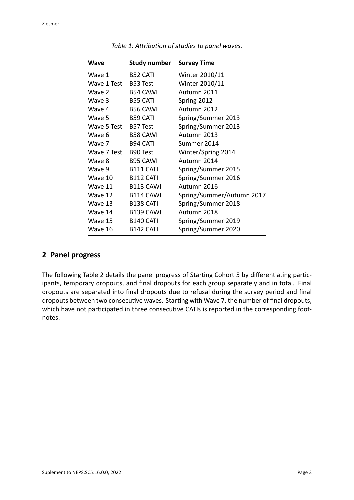<span id="page-4-0"></span>

| Wave        | <b>Study number</b> Survey Time |                           |
|-------------|---------------------------------|---------------------------|
| Wave 1      | <b>B52 CATI</b>                 | Winter 2010/11            |
| Wave 1 Test | B53 Test                        | Winter 2010/11            |
| Wave 2      | <b>B54 CAWI</b>                 | Autumn 2011               |
| Wave 3      | <b>B55 CATI</b>                 | Spring 2012               |
| Wave 4      | <b>B56 CAWI</b>                 | Autumn 2012               |
| Wave 5      | <b>B59 CATI</b>                 | Spring/Summer 2013        |
| Wave 5 Test | B57 Test                        | Spring/Summer 2013        |
| Wave 6      | <b>B58 CAWI</b>                 | Autumn 2013               |
| Wave 7      | <b>B94 CATI</b>                 | Summer 2014               |
| Wave 7 Test | B90 Test                        | Winter/Spring 2014        |
| Wave 8      | <b>B95 CAWI</b>                 | Autumn 2014               |
| Wave 9      | <b>B111 CATI</b>                | Spring/Summer 2015        |
| Wave 10     | <b>B112 CATI</b>                | Spring/Summer 2016        |
| Wave 11     | <b>B113 CAWI</b>                | Autumn 2016               |
| Wave 12     | <b>B114 CAWI</b>                | Spring/Summer/Autumn 2017 |
| Wave 13     | <b>B138 CATI</b>                | Spring/Summer 2018        |
| Wave 14     | <b>B139 CAWI</b>                | Autumn 2018               |
| Wave 15     | <b>B140 CATI</b>                | Spring/Summer 2019        |
| Wave 16     | <b>B142 CATI</b>                | Spring/Summer 2020        |

*Table 1: Attribution of studies to panel waves.*

#### **2 Panel progress**

The following Table [2](#page-5-0) details the panel progress of Starting Cohort 5 by differentiating partic‐ ipants, temporary dropouts, and final dropouts for each group separately and in total. Final dropouts are separated into final dropouts due to refusal during the survey period and final dropouts between two consecutive waves. Starting with Wave 7, the number of final dropouts, which have not participated in three consecutive CATIs is reported in the corresponding footnotes.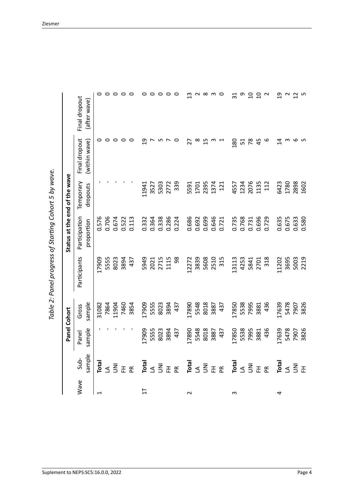<span id="page-5-0"></span>

| $\mathbf{\ddot{j}}$<br>i<br>)<br>)<br>:<br>גר<br>ļ |
|----------------------------------------------------|
| -<br>2<br>1<br>.<br>פי                             |
| innal nearce at l<br>,<br>,<br>)<br>]<br>١         |
| ſ                                                  |

|                           |                          |                 | Panel Cohort    |                      | Status at the end of the wave |                       |                                |                               |
|---------------------------|--------------------------|-----------------|-----------------|----------------------|-------------------------------|-----------------------|--------------------------------|-------------------------------|
| Wave                      | sample<br>Sub-           | sample<br>Panel | sample<br>Gross | Participants         | Participation<br>proportion   | Temporary<br>dropouts | Final dropout<br>(within wave) | Final dropout<br>(after wave) |
|                           |                          |                 |                 |                      |                               |                       |                                |                               |
|                           | Total                    |                 | 31082           | 17909                | 0.576                         |                       | 0                              | $\circ$                       |
|                           | ⋖                        |                 | 7864            | 5555                 | 0.706                         |                       | $\circ$                        | $\circ$                       |
|                           | š                        |                 | 11904           | 8023                 | 0.674                         |                       | $\circ$                        | $\circ$                       |
|                           | 준                        |                 | 7460            | 3894                 | 0.522                         |                       | $\circ$                        | $\circ$                       |
|                           | $\tilde{E}$              |                 | 3854            | 437                  | 0.113                         |                       | 0                              | ○                             |
| $\overline{\overline{u}}$ | Total                    | 17909           | 17909           |                      | 0.332                         | 11941                 | ഇ                              |                               |
|                           | $\Delta$                 | 5555            | 5555            |                      | 0.364                         | 3527                  |                                | 0                             |
|                           | $\overline{5}$           | 8023            | 8023            | 5949<br>2021<br>2715 | 0.338                         | 5303                  | ഗ                              | $\circ$                       |
|                           | 준                        | 3894            | 3894            | 1115                 | 0.286                         | 2772                  |                                | 0                             |
|                           | $\widetilde{\mathsf{E}}$ | 437             | 437             | 98                   | 0.224                         | 339                   | $\circ$                        | $\circ$                       |
| $\sim$                    | Total                    | 17890           | 17890           | 12272                | 0.686                         | 5591                  | 27                             | $\frac{3}{2}$                 |
|                           | ₹                        | 5548            | 5548            | 3839                 | 0.692                         | 1701                  | $\infty$                       | $\sim$                        |
|                           | $\overline{5}$           | 8018            | 8018            | 5608                 | 0.699                         | 2395                  | 15                             | $\infty$                      |
|                           | 폰                        | 3887            | 3887            | 2510                 | 0.646                         | 1374                  | m                              | S                             |
|                           | $\tilde{E}$              | 437             | 437             | 315                  | 0.721                         | 121                   |                                | $\circ$                       |
| S                         | Total                    | 17850           | 17850           | 13113                | 0.735                         | 4557                  | 180                            | $\overline{31}$               |
|                           | $\Delta$                 | 5538            | 5538            |                      | 0.768                         | 1234                  | 51                             | თ                             |
|                           | $\overline{5}$           | 7995            | 7995            | 4253<br>5841<br>2701 | 0.731                         | 2076                  | 78                             | $\overline{0}$                |
|                           | 폰                        | 3881            | 3881            |                      | 0.696                         | 1135                  | 45                             | $\overline{0}$                |
|                           | $\tilde{P}$              | 436             | 436             | 318                  | 0.729                         | 112                   | 6                              | $\sim$                        |
| 4                         | Total                    | 17639           | 17639           | 1202                 | 0.635                         | 6423                  | $\vec{a}$                      | $\overline{c}$                |
|                           | $\prec$                  | 5478            | 5478            | 3695                 | 0.675                         | 1780                  | S                              | $\frac{2}{1}$                 |
|                           | $\overline{5}$           | 7907            | 7907            | 5003                 | 0.633                         | 2898                  | م                              |                               |
|                           | 준                        | 3826            | 3826            | 2219                 | 0.580                         | 1602                  | S                              | S                             |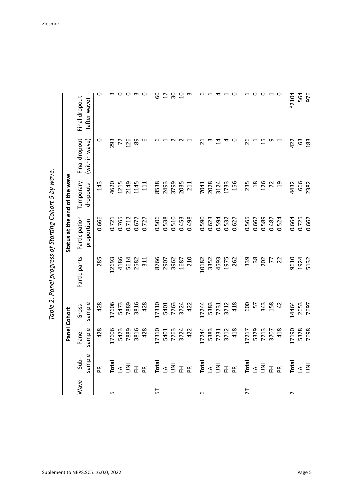| -- המת הממחי<br>:<br>!<br>١<br>$\mathbf{\ddot{\scriptstyle\mathsf{S}}}$<br>Danal program af<br>;<br>)<br>;<br>١<br>)<br>) | )<br>}<br>֧֦֧֦֚֞֝֝֬<br>֧֪֝֝ |
|---------------------------------------------------------------------------------------------------------------------------|-----------------------------|
|                                                                                                                           |                             |
|                                                                                                                           |                             |
|                                                                                                                           |                             |
|                                                                                                                           |                             |
|                                                                                                                           |                             |
|                                                                                                                           |                             |
|                                                                                                                           |                             |
|                                                                                                                           |                             |
|                                                                                                                           |                             |
|                                                                                                                           |                             |
|                                                                                                                           |                             |
|                                                                                                                           |                             |
|                                                                                                                           | ŗ                           |
| י<br>ג                                                                                                                    |                             |

|                |                     | Panel Cohort                 |                      |               | Status at the end of the wave |                       |                                |                               |
|----------------|---------------------|------------------------------|----------------------|---------------|-------------------------------|-----------------------|--------------------------------|-------------------------------|
| Wave           | sample<br>Sub-      | sample<br>Panel              | sample<br>Gross      | Participants  | Participation<br>proportion   | Temporary<br>dropouts | Final dropout<br>(within wave) | Final dropout<br>(after wave) |
|                | $\tilde{E}$         | 428                          | 428                  | 285           | 0.666                         | 143                   | 0                              | $\circ$                       |
| 5              | Total               | 17606                        | 17606                | 12693         |                               | 4620                  |                                |                               |
|                | $\prec$             | 5473                         | 5473                 | 4186          | 0.721<br>0.765                | 1215                  | 293<br>72                      | $\sim$ $\sim$                 |
|                | $\overline{5}$      | 7889                         | 7889                 | 5614          | 0.712<br>0.677                | 2149                  | 126                            | O m                           |
|                | 준                   | 3816                         | 3816                 | 2582          |                               | 1145                  | 89                             |                               |
|                | $\widetilde{E}$     | 428                          | 428                  | 311           | 0.727                         | 111                   | 6                              | $\circ$                       |
| ᇅ              | Total               | 17310                        | 17310                | 8766          | 0.506                         | 8538                  | ဖ                              | 60                            |
|                |                     |                              |                      | 2907          |                               | 2493                  |                                | 17                            |
|                | $\leq \overline{5}$ | 5401<br>7763<br>7724<br>3722 | 5401<br>7763<br>3724 | 3962          | 0.538<br>0.510                | 3799                  |                                | $\overline{50}$               |
|                |                     |                              |                      | 1687          | 0.453                         | 2035                  |                                | $\overline{a}$                |
|                | 표 ᅂ                 |                              | 422                  | 210           | 0.498                         | 211                   |                                | S                             |
| 6              | Total               | 17244                        | 17244                | 10182         | 0.590                         | 7041                  | $\overline{c}$                 | ဖ                             |
|                | $\Delta$            |                              |                      | 3352          | 0.623                         | 2028                  |                                |                               |
|                | $\overline{5}$      |                              | 5383<br>7731<br>3712 | 4593          | 0.594                         | 3124<br>1733          | $\vec{a}$                      | 4                             |
|                | 표 ᅂ                 | 5383<br>7731<br>3712<br>418  |                      | 1975          | 0.532<br>0.627                |                       | 4                              |                               |
|                |                     |                              | 418                  | 262           |                               | 156                   | 0                              | $\circ$                       |
| 片              | Total               | 17217                        | 600                  | 339           | 0.565                         | 235                   | 26                             |                               |
|                | $\Delta$            |                              | 57                   | $\frac{8}{3}$ | 0.667                         | 18                    |                                | $\circ$ $\circ$               |
|                | $\bar{\Xi}$         |                              | 343                  | 202           | 0.589                         | 126                   | 15                             |                               |
|                | 표 ᅂ                 | 5379<br>7713<br>707          | 158                  | 77            | 0.487                         | 52                    | თ                              | $\overline{a}$                |
|                |                     | 418                          | $\overline{a}$       |               | 0.524                         | $\overline{c}$        |                                |                               |
| $\overline{ }$ | Total               | 17190                        | 14464                | 9610          | 0.664                         | 4432                  | 422                            | <sup>a</sup> 2104             |
|                | $\prec$             | 5378                         | 2653                 | 1924          | 0.725                         | 666                   | 63                             | 564                           |
|                | $\overline{5}$      | 7698                         | 7697                 | 5132          | 0.667                         | 2382                  | 183                            | 976                           |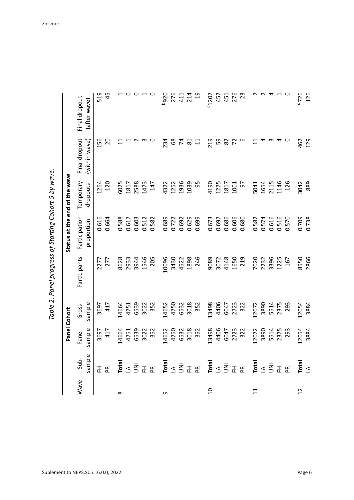| Į<br>٩<br>ı                  |
|------------------------------|
| - 22 1 22 1 23<br>٦<br>١     |
| להמה היהמיתר ה+<br>こうこう<br>١ |
| l                            |
|                              |

|                |                 | Panel Cohort    |                 |              | Status at the end of the wave |                       |                                |                               |
|----------------|-----------------|-----------------|-----------------|--------------|-------------------------------|-----------------------|--------------------------------|-------------------------------|
| Wave           | sample<br>Sub-  | sample<br>Panel | sample<br>Gross | Participants | Participation<br>proportion   | Temporary<br>dropouts | Final dropout<br>(within wave) | Final dropout<br>(after wave) |
|                | 준               | 3697            | 3697            | 2277         | 0.616                         | 1264                  | 156                            | 519                           |
|                | $\mathbf{R}$    | 417             | 417             | 277          | 0.664                         | 120                   | 20                             | 45                            |
| $\infty$       | Total           | .4664           | 14664           | 8628         | 0.588                         | 6025                  | $\Xi$                          |                               |
|                | $\triangleleft$ | 4751            | 4751            | 2933         | 0.617                         | 1817                  |                                | 0                             |
|                | $\overline{5}$  | 6539            | 6539            | 3944         | 0.603                         | 2588                  |                                | 0                             |
|                | 준               | 3022            | 3022            | 1546         | 0.512                         | 1473                  |                                | $\overline{ }$                |
|                | $\widetilde{P}$ | 352             | 352             | 205          | 0.582                         | 147                   |                                | $\circ$                       |
| σ              | Total           | 14652           | 14652           | 10096        | 0.689                         | 4322                  | 234                            | <b>026q</b>                   |
|                | $\Delta$        | 4750            | 4750            | 3430         | 0.722                         | 1252                  | 89                             | 276                           |
|                | $\overline{5}$  | 6532            | 6532            | 4522         | 0.692                         | 1936                  | $\overline{7}$                 | 411                           |
|                | 준               | 3018            | 3018            | 1898         | 0.629                         | 1039                  | $\overline{8}$                 | 214                           |
|                | $\mathbb{R}$    | 352             | 352             | 246          | 0.699                         | 95                    | $\overline{11}$                | $\overline{c}$                |
| $\Omega$       | Total           | 13498           | 13498           | 9089         | 0.673                         | 4190                  | 219                            | 50207                         |
|                | $\Delta$        | 4406            | 4406            | 3072         | 0.697                         | 1275                  | 59                             | 457                           |
|                | $\overline{5}$  | 6047            | 6047            | 4148         | 0.686                         | 1817                  | 82                             | 451                           |
|                | 준               | 2723            | 2723            | 1650         | 0.606                         | 1001                  |                                | 276                           |
|                | $\tilde{E}$     | 322             | 322             | 219          | 0.680                         | 5                     |                                | 23                            |
| $\overline{1}$ | Total           | 12072           | 12072           | 7020         | 0.582                         | 5041                  |                                |                               |
|                | $\Delta$        | 3890            | 3890            | 2232         | 0.574                         | 1654                  |                                | $\sim$                        |
|                | m<br>S          | 5514            | 5514            | 3396         | 0.616                         | 2115                  |                                | $\overline{4}$                |
|                | 준               | 2375            | 2375            | 1225         | 0.516                         | 1146                  |                                | $\overline{a}$                |
|                | $\widetilde{P}$ | 293             | 293             | 167          | 0.570                         | 126                   |                                |                               |
| $\overline{c}$ | Total           | 12054           | 12054           | 8550         | 0.709                         | 3042                  | 462                            | 1726                          |
|                | $\triangleleft$ | 3884            | 3884            | 2866         | 0.738                         | 889                   | 129                            | 126                           |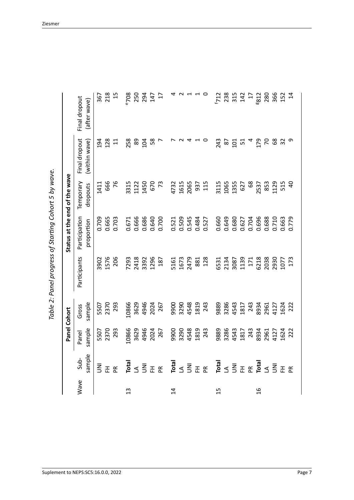| S<br>;<br>)<br>(                              |
|-----------------------------------------------|
| ī                                             |
| いっさい                                          |
| -<br>1<br>1<br>١<br>i                         |
|                                               |
| וממחן ממממית בר<br>)<br>)<br>)<br>)<br>)<br>١ |
|                                               |
| j                                             |
|                                               |

|                |                                                                          | Panel Cohort         |                      |              | Status at the end of the wave |              |                |                                |
|----------------|--------------------------------------------------------------------------|----------------------|----------------------|--------------|-------------------------------|--------------|----------------|--------------------------------|
| Wave           | Sub-                                                                     | Panel                | Gross                | Participants | Participation                 | Temporary    | Final dropout  | Final dropout                  |
|                | sample                                                                   | sample               | sample               |              | proportion                    | dropouts     | (within wave)  | (after wave)                   |
|                | $\bar{\Xi}$                                                              |                      |                      | 3902         | 0.709                         | 1411         | 194            | 367                            |
|                | 준                                                                        | 5507<br>2370         | 5507<br>2370         | 1576         | 0.665                         | 666          | 128            | 218                            |
|                | $\tilde{E}$                                                              | 293                  | 293                  | 206          | 0.703                         | 76           | $\overline{1}$ | 15                             |
| $\frac{3}{2}$  |                                                                          | 10866                | 10866                | 7293         | 0.671                         |              | 258            |                                |
|                | $\overline{\overline{B}}$ $\leq$ $\overline{\leq}$                       | 3629                 | 3629                 | 2418         | 0.666                         | 3315<br>1122 | 89             | P708<br>250<br>294<br>17<br>17 |
|                |                                                                          | 4946                 | 4946                 | 3392         | 0.686                         | 1450         | 104            |                                |
|                |                                                                          | 2024<br>267          | 2024                 | 1296         | 0.640                         | 670          | 58             |                                |
|                | 표 ᅂ                                                                      |                      | 267                  | 187          | 0.700                         | 73           |                |                                |
| $\overline{1}$ | Total                                                                    | 9900                 |                      | 5161         |                               | 4732         |                |                                |
|                |                                                                          | 3290                 | 9900<br>3290<br>4548 | 1673         |                               | 1615<br>2065 |                | 4 U                            |
|                | $\leq \bar{\leq}$                                                        | 4548                 |                      | 2479         | 0.521<br>0.509<br>0.545       |              |                | $\overline{a}$                 |
|                | E E                                                                      | 1819                 | 1819                 | 881          | 0.484                         | 937          |                |                                |
|                |                                                                          | 243                  | 243                  | 128          | 0.527                         | 115          |                | $\circ$                        |
| 15             | Total                                                                    | 9889                 | 9889                 | 6531         | 0.660                         | 3115         | 243            |                                |
|                | $3\overline{5} \pm \mathcal{E} \stackrel{\overline{a}}{B} 3\overline{5}$ | 3286                 | 3286                 | 2134<br>3087 | 0.649                         | 1065         |                | $7138$<br>$733147$<br>$17$     |
|                |                                                                          | 4543                 | 4543                 |              | 0.680                         | 1355         | ន ដី ឌ         |                                |
|                |                                                                          | 1817<br>243          | 1817                 | 1139         | 0.627<br>0.704                | 627          |                |                                |
|                |                                                                          |                      | 243                  | 171          |                               | 68           | $\overline{a}$ |                                |
| $\frac{6}{1}$  |                                                                          |                      | 8934                 | 6218         | 0.696<br>0.688                | 2537         | 179            | <b>8812</b>                    |
|                |                                                                          | 8934<br>2961<br>4127 | 2961<br>4127         | 2038<br>2930 |                               | 853          | $\mathcal{L}$  |                                |
|                |                                                                          |                      |                      |              | 0.710                         | 1129         | 68             |                                |
|                | 포 ex                                                                     | 1624<br>222          | 1624<br>222          | 1077         | 0.663<br>0.779                | 515          | $\overline{3}$ | 280<br>366<br>152              |
|                |                                                                          |                      |                      | 173          |                               | $\theta$     | თ              | $\overline{1}$                 |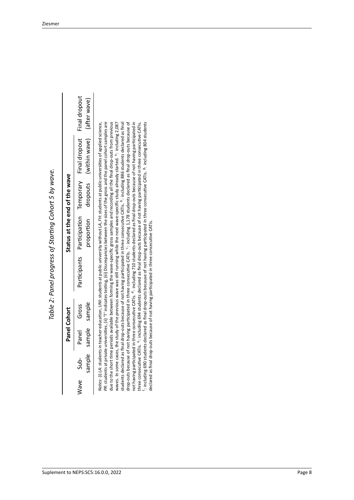|                          | Panel Cohort | Status at the end of the wave |                                       |  |
|--------------------------|--------------|-------------------------------|---------------------------------------|--|
| Wave Sub-<br>Panel Gross |              | Participants Participation    | Temporary Final dropout Final dropout |  |
| sample sample sample     |              | noportion                     | dropouts (within wave) (after wave)   |  |

Table 2: Panel progress of Starting Cohort 5 by wave. *Table 2: Panel progress of Starting Cohort 5 by wave.*

due to the short time periods available between forming the wave-specific gross samples and recording all the final drop-outs from previous waves. In some cases, the study of the previous wave was still running while the next wave-specific study already started. <sup>a</sup>: including 2,087 students declared as final drop-outs because of not having participated in three consecutive CATIs. b: including 886 students declared as final not having participated in three consecutive CATIs. <sup>d</sup>: including 710 students declared as final drop-outs because of not having participated in three consecutive CATIs. <sup>e</sup>: including 694 students declared as final drop-outs because of not having participated in three consecutive CATIs. <sup>1</sup>: including 690 students declared as final drop-outs because of not having participated in three consecutive CATIs. <sup>8</sup>: including 804 students *PR*: students at private universities, (ii) 'T' indicates testing, (iii) Discrepancies between the sizes of the gross and the panel cohort samples are drop-outs because of not having participated in three consecutive CATIs. <sup>c</sup>: including 1,178 students declared as final drop-outs because of drop‐outs because of not having participated in three consecutive CATIs. c: including 1,178 students declared as final drop‐outs because of not having participated in three consecutive CATIs. <sup>d</sup>: including 710 students declared as final drop-outs because of not having participated in Notes: (i) LA: students in teacher education, UNI: students at public university without LA, FH: students at public universities of applied science, *Notes*: (i) *LA*: students in teacher education, *UNI*: students at public university without *LA*, *FH*: students at public universities of applied science, *PR*: students at private universities, (ii) 'T' indicates testing, (iii) Discrepancies between the sizes of the gross and the panel cohort samples are due to the short time periods available between forming the wave‐specific gross samples and recording all the final drop‐outs from previous waves. In some cases, the study of the previous wave was still running while the next wave‐specific study already started. <sup>a</sup>: including 2,087 students declared as final drop‐outs because of not having participated in three consecutive CATIs. b: including 886 students declared as final three consecutive CATIs. <sup>e</sup>: including 694 students declared as final drop-outs because of not having participated in three consecutive CATIs. f: including 690 students declared as final drop‐outs because of not having participated in three consecutive CATIs. g: including 804 students declared as final drop-outs because of not having participated in three consecutive CATIs. declared as final drop‐outs because of not having participated in three consecutive CATIs.

 $\overline{\phantom{a}}$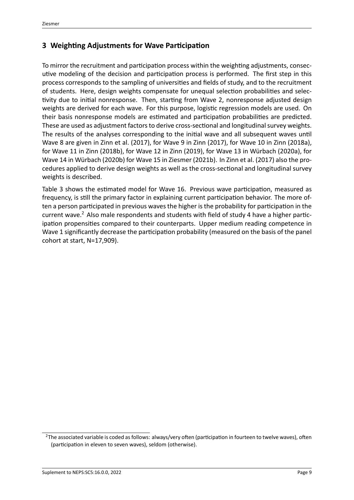#### **3 Weighting Adjustments for Wave Participation**

To mirror the recruitment and participation process within the weighting adjustments, consec‐ utive modeling of the decision and participation process is performed. The first step in this process corresponds to the sampling of universities and fields of study, and to the recruitment of students. Here, design weights compensate for unequal selection probabilities and selec‐ tivity due to initial nonresponse. Then, starting from Wave 2, nonresponse adjusted design weights are derived for each wave. For this purpose, logistic regression models are used. On their basis nonresponse models are estimated and participation probabilities are predicted. These are used as adjustment factors to derive cross‐sectional and longitudinal survey weights. The results of the analyses corresponding to the initial wave and all subsequent waves until Wave 8 are given in Zinn et al.([2017](#page-16-0)), for Wave 9 in Zinn([2017](#page-16-1)), for Wave 10 in Zinn([2018a\)](#page-16-2), for Wave 11 in Zinn([2018b](#page-16-3)), for Wave 12 in Zinn([2019](#page-16-4)), for Wave 13 in Würbach [\(2020a\)](#page-15-1), for Wave 14 in Würbach [\(2020b\)](#page-15-2) for Wave 15 in Ziesmer [\(2021b\)](#page-15-5). In Zinn et al.([2017\)](#page-16-0) also the pro‐ cedures applied to derive design weights as well as the cross‐sectional and longitudinal survey weights is described.

Table [3](#page-11-0) shows the estimated model for Wave 16. Previous wave participation, measured as frequency, is still the primary factor in explaining current participation behavior. The more of‐ ten a person participated in previous waves the higher is the probability for participation in the current wave.<sup>[2](#page-10-0)</sup> Also male respondents and students with field of study 4 have a higher participation propensities compared to their counterparts. Upper medium reading competence in Wave 1 significantly decrease the participation probability (measured on the basis of the panel cohort at start, N=17,909).

<span id="page-10-0"></span> $2$ The associated variable is coded as follows: always/very often (participation in fourteen to twelve waves), often (participation in eleven to seven waves), seldom (otherwise).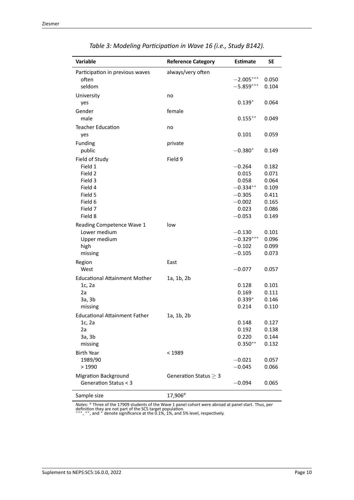<span id="page-11-0"></span>

| Variable                                       | <b>Reference Category</b>  | Estimate                | SΕ             |
|------------------------------------------------|----------------------------|-------------------------|----------------|
| Participation in previous waves                | always/very often          |                         |                |
| often                                          |                            | $-2.005***$             | 0.050          |
| seldom                                         |                            | $-5.859***$             | 0.104          |
| University                                     | no                         |                         |                |
| yes                                            |                            | $0.139*$                | 0.064          |
| Gender                                         | female                     |                         |                |
| male                                           |                            | $0.155***$              | 0.049          |
| <b>Teacher Education</b>                       | no                         |                         |                |
| yes                                            |                            | 0.101                   | 0.059          |
| Funding                                        | private                    |                         |                |
| public                                         |                            | $-0.380*$               | 0.149          |
| Field of Study                                 | Field 9                    |                         |                |
| Field 1                                        |                            | $-0.264$                | 0.182          |
| Field 2                                        |                            | 0.015                   | 0.071          |
| Field 3                                        |                            | 0.058                   | 0.064          |
| Field 4                                        |                            | $-0.334**$              | 0.109          |
| Field 5                                        |                            | $-0.305$                | 0.411          |
| Field 6                                        |                            | $-0.002$                | 0.165          |
| Field 7                                        |                            | 0.023                   | 0.086          |
| Field 8                                        |                            | $-0.053$                | 0.149          |
| Reading Competence Wave 1                      | low                        |                         |                |
| Lower medium                                   |                            | $-0.130$<br>$-0.329***$ | 0.101<br>0.096 |
| Upper medium<br>high                           |                            | $-0.102$                | 0.099          |
| missing                                        |                            | $-0.105$                | 0.073          |
|                                                | East                       |                         |                |
| Region<br>West                                 |                            | $-0.077$                | 0.057          |
|                                                |                            |                         |                |
| <b>Educational Attainment Mother</b><br>1c, 2a | 1a, 1b, 2b                 | 0.128                   | 0.101          |
| 2a                                             |                            | 0.169                   | 0.111          |
| 3a, 3b                                         |                            | $0.339*$                | 0.146          |
| missing                                        |                            | 0.214                   | 0.110          |
| <b>Educational Attainment Father</b>           | 1a, 1b, 2b                 |                         |                |
| 1c, 2a                                         |                            | 0.148                   | 0.127          |
| 2a                                             |                            | 0.192                   | 0.138          |
| 3a, 3b                                         |                            | 0.220                   | 0.144          |
| missing                                        |                            | $0.350**$               | 0.132          |
| <b>Birth Year</b>                              | < 1989                     |                         |                |
| 1989/90                                        |                            | $-0.021$                | 0.057          |
| >1990                                          |                            | $-0.045$                | 0.066          |
| <b>Migration Background</b>                    | Generation Status $\geq 3$ |                         |                |
| Generation Status < 3                          |                            | $-0.094$                | 0.065          |
|                                                |                            |                         |                |
| Sample size                                    | $17,906^{\circ}$           |                         |                |

| Table 3: Modeling Participation in Wave 16 (i.e., Study B142). |  |  |
|----------------------------------------------------------------|--|--|
|----------------------------------------------------------------|--|--|

Notes: <sup>a</sup> Three of the 17909 students of the Wave 1 panel cohort were abroad at panel start. Thus, per<br>definition they are not part of the SC5 target population.<br>\*\*\*, \*\*, and \* denote significance at the 0.1%, 1%, and 5%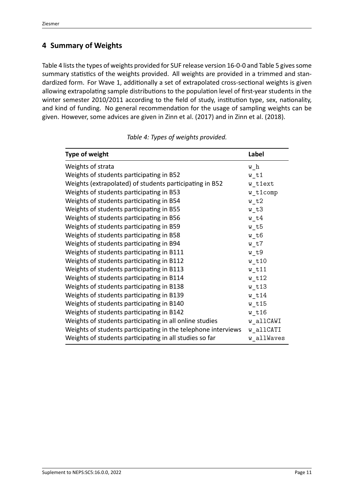### **4 Summary of Weights**

Table [4](#page-12-0) lists the types of weights provided for SUF release version 16‐0‐0 and Table [5](#page-13-0) gives some summary statistics of the weights provided. All weights are provided in a trimmed and stan‐ dardized form. For Wave 1, additionally a set of extrapolated cross-sectional weights is given allowing extrapolating sample distributions to the population level of first‐year students in the winter semester 2010/2011 according to the field of study, institution type, sex, nationality, and kind of funding. No general recommendation for the usage of sampling weights can be given. However, some advices are given in Zinn et al.([2017](#page-16-0)) and in Zinn et al. [\(2018](#page-16-5)).

<span id="page-12-0"></span>

| <b>Type of weight</b>                                         | Label       |
|---------------------------------------------------------------|-------------|
| Weights of strata                                             | $w_h$       |
| Weights of students participating in B52                      | $w_t$ t1    |
| Weights (extrapolated) of students participating in B52       | w_t1ext     |
| Weights of students participating in B53                      | w t1comp    |
| Weights of students participating in B54                      | $w_t^2$     |
| Weights of students participating in B55                      | w t3        |
| Weights of students participating in B56                      | $w_t$ t $4$ |
| Weights of students participating in B59                      | w t5        |
| Weights of students participating in B58                      | $w_t$ t $6$ |
| Weights of students participating in B94                      | w t7        |
| Weights of students participating in B111                     | $w_t$       |
| Weights of students participating in B112                     | $w$ t10     |
| Weights of students participating in B113                     | $w_t$ t11   |
| Weights of students participating in B114                     | $w$ t12     |
| Weights of students participating in B138                     | $w_t$ t13   |
| Weights of students participating in B139                     | $w$ t14     |
| Weights of students participating in B140                     | $w_t$ t15   |
| Weights of students participating in B142                     | $w$ t16     |
| Weights of students participating in all online studies       | w allCAWI   |
| Weights of students participating in the telephone interviews | w allCATI   |
| Weights of students participating in all studies so far       | w allWaves  |

*Table 4: Types of weights provided.*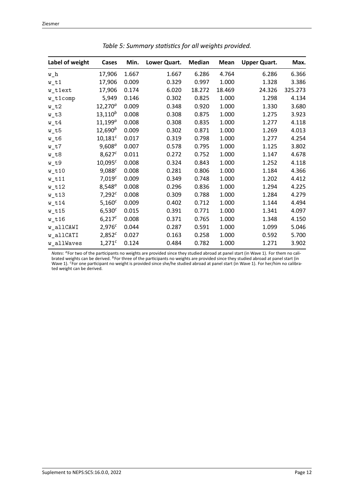<span id="page-13-0"></span>

| Label of weight       | Cases              | Min.  | Lower Quart. | <b>Median</b> | Mean   | <b>Upper Quart.</b> | Max.    |
|-----------------------|--------------------|-------|--------------|---------------|--------|---------------------|---------|
| $w_h$                 | 17,906             | 1.667 | 1.667        | 6.286         | 4.764  | 6.286               | 6.366   |
| $w_t$ t1              | 17,906             | 0.009 | 0.329        | 0.997         | 1.000  | 1.328               | 3.386   |
| w_t1ext               | 17,906             | 0.174 | 6.020        | 18.272        | 18.469 | 24.326              | 325.273 |
| w_t1comp              | 5,949              | 0.146 | 0.302        | 0.825         | 1.000  | 1.298               | 4.134   |
| $w_t^2$               | $12,270^{\circ}$   | 0.009 | 0.348        | 0.920         | 1.000  | 1.330               | 3.680   |
| $w_t3$                | $13, 110^b$        | 0.008 | 0.308        | 0.875         | 1.000  | 1.275               | 3.923   |
| $w_t$                 | $11, 199^{\circ}$  | 0.008 | 0.308        | 0.835         | 1.000  | 1.277               | 4.118   |
| $w_t$                 | $12,690^b$         | 0.009 | 0.302        | 0.871         | 1.000  | 1.269               | 4.013   |
| $w_t6$                | $10,181^c$         | 0.017 | 0.319        | 0.798         | 1.000  | 1.277               | 4.254   |
| $w_t$ t $7$           | $9,608^{\circ}$    | 0.007 | 0.578        | 0.795         | 1.000  | 1.125               | 3.802   |
| $w_t8$                | $8,627^c$          | 0.011 | 0.272        | 0.752         | 1.000  | 1.147               | 4.678   |
| $w_t$                 | $10,095^c$         | 0.008 | 0.324        | 0.843         | 1.000  | 1.252               | 4.118   |
| $w_t$ t10             | $9,088^c$          | 0.008 | 0.281        | 0.806         | 1.000  | 1.184               | 4.366   |
| $w_t$ t11             | 7,019 <sup>c</sup> | 0.009 | 0.349        | 0.748         | 1.000  | 1.202               | 4.412   |
| $w_t$ 12              | $8,548^{a}$        | 0.008 | 0.296        | 0.836         | 1.000  | 1.294               | 4.225   |
| $w_t$ t <sub>13</sub> | $7,292^c$          | 0.008 | 0.309        | 0.788         | 1.000  | 1.284               | 4.279   |
| $w_t$ t14             | $5,160^{c}$        | 0.009 | 0.402        | 0.712         | 1.000  | 1.144               | 4.494   |
| $w_t$ t <sub>15</sub> | $6,530^{c}$        | 0.015 | 0.391        | 0.771         | 1.000  | 1.341               | 4.097   |
| $w_t$ t16             | $6,217^c$          | 0.008 | 0.371        | 0.765         | 1.000  | 1.348               | 4.150   |
| w_allCAWI             | $2,976^{c}$        | 0.044 | 0.287        | 0.591         | 1.000  | 1.099               | 5.046   |
| w_allCATI             | $2,852^c$          | 0.027 | 0.163        | 0.258         | 1.000  | 0.592               | 5.700   |
| w_allWaves            | $1,271^{c}$        | 0.124 | 0.484        | 0.782         | 1.000  | 1.271               | 3.902   |

*Table 5: Summary statistics for all weights provided.*

*Notes*: <sup>a</sup>For two of the participants no weights are provided since they studied abroad at panel start (in Wave 1). For them no cali-<br>brated weights can be derived. <sup>b</sup>For three of the participants no weights are provide ted weight can be derived.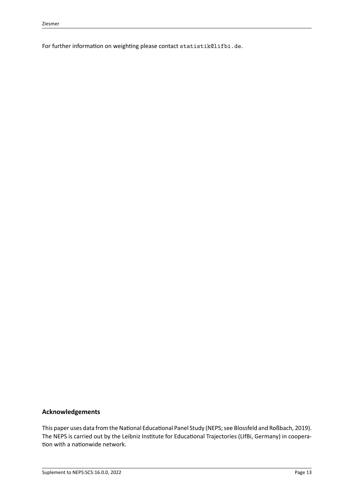For further information on weighting please contact statistik@lifbi.de.

#### **Acknowledgements**

This paper uses data from the National Educational Panel Study (NEPS; see Blossfeld and Roßbach, [2019](#page-15-6)). The NEPS is carried out by the Leibniz Institute for Educational Trajectories (LIfBi, Germany) in coopera‐ tion with a nationwide network.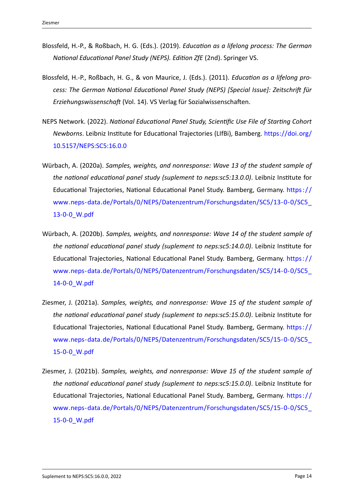- <span id="page-15-6"></span>Blossfeld, H.‐P., & Roßbach, H. G. (Eds.). (2019). *Education as a lifelong process: The German National Educational Panel Study (NEPS). Edition ZfE* (2nd). Springer VS.
- <span id="page-15-4"></span>Blossfeld, H.‐P., Roßbach, H. G., & von Maurice, J. (Eds.). (2011). *Education as a lifelong pro‐ cess: The German National Educational Panel Study (NEPS) [Special Issue]: Zeitschrift für Erziehungswissenschaft* (Vol. 14). VS Verlag für Sozialwissenschaften.
- <span id="page-15-0"></span>NEPS Network. (2022). *National Educational Panel Study, Scientific Use File of Starting Cohort Newborns*. Leibniz Institute for Educational Trajectories (LIfBi), Bamberg. [https://doi.org/](https://doi.org/10.5157/NEPS:SC5:16.0.0) [10.5157/NEPS:SC5:16.0.0](https://doi.org/10.5157/NEPS:SC5:16.0.0)
- <span id="page-15-1"></span>Würbach, A. (2020a). *Samples, weights, and nonresponse: Wave 13 of the student sample of the national educational panel study (suplement to neps:sc5:13.0.0)*. Leibniz Institute for Educational Trajectories, National Educational Panel Study. Bamberg, Germany. [https: / /](https://www.neps-data.de/Portals/0/NEPS/Datenzentrum/Forschungsdaten/SC5/13-0-0/SC5_13-0-0_W.pdf) [www.neps‐data.de/Portals/0/NEPS/Datenzentrum/Forschungsdaten/SC5/13‐0‐0/SC5\\_](https://www.neps-data.de/Portals/0/NEPS/Datenzentrum/Forschungsdaten/SC5/13-0-0/SC5_13-0-0_W.pdf) [13‐0‐0\\_W.pdf](https://www.neps-data.de/Portals/0/NEPS/Datenzentrum/Forschungsdaten/SC5/13-0-0/SC5_13-0-0_W.pdf)
- <span id="page-15-2"></span>Würbach, A. (2020b). *Samples, weights, and nonresponse: Wave 14 of the student sample of the national educational panel study (suplement to neps:sc5:14.0.0)*. Leibniz Institute for Educational Trajectories, National Educational Panel Study. Bamberg, Germany. https:// [www.neps‐data.de/Portals/0/NEPS/Datenzentrum/Forschungsdaten/SC5/14‐0‐0/SC5\\_](https://www.neps-data.de/Portals/0/NEPS/Datenzentrum/Forschungsdaten/SC5/14-0-0/SC5_14-0-0_W.pdf) [14‐0‐0\\_W.pdf](https://www.neps-data.de/Portals/0/NEPS/Datenzentrum/Forschungsdaten/SC5/14-0-0/SC5_14-0-0_W.pdf)
- <span id="page-15-3"></span>Ziesmer, J. (2021a). *Samples, weights, and nonresponse: Wave 15 of the student sample of the national educational panel study (suplement to neps:sc5:15.0.0)*. Leibniz Institute for Educational Trajectories, National Educational Panel Study. Bamberg, Germany. https:// [www.neps‐data.de/Portals/0/NEPS/Datenzentrum/Forschungsdaten/SC5/15‐0‐0/SC5\\_](https://www.neps-data.de/Portals/0/NEPS/Datenzentrum/Forschungsdaten/SC5/15-0-0/SC5_15-0-0_W.pdf) [15‐0‐0\\_W.pdf](https://www.neps-data.de/Portals/0/NEPS/Datenzentrum/Forschungsdaten/SC5/15-0-0/SC5_15-0-0_W.pdf)
- <span id="page-15-5"></span>Ziesmer, J. (2021b). *Samples, weights, and nonresponse: Wave 15 of the student sample of the national educational panel study (suplement to neps:sc5:15.0.0)*. Leibniz Institute for Educational Trajectories, National Educational Panel Study. Bamberg, Germany. [https: / /](https://www.neps-data.de/Portals/0/NEPS/Datenzentrum/Forschungsdaten/SC5/15-0-0/SC5_15-0-0_W.pdf) [www.neps‐data.de/Portals/0/NEPS/Datenzentrum/Forschungsdaten/SC5/15‐0‐0/SC5\\_](https://www.neps-data.de/Portals/0/NEPS/Datenzentrum/Forschungsdaten/SC5/15-0-0/SC5_15-0-0_W.pdf) [15‐0‐0\\_W.pdf](https://www.neps-data.de/Portals/0/NEPS/Datenzentrum/Forschungsdaten/SC5/15-0-0/SC5_15-0-0_W.pdf)